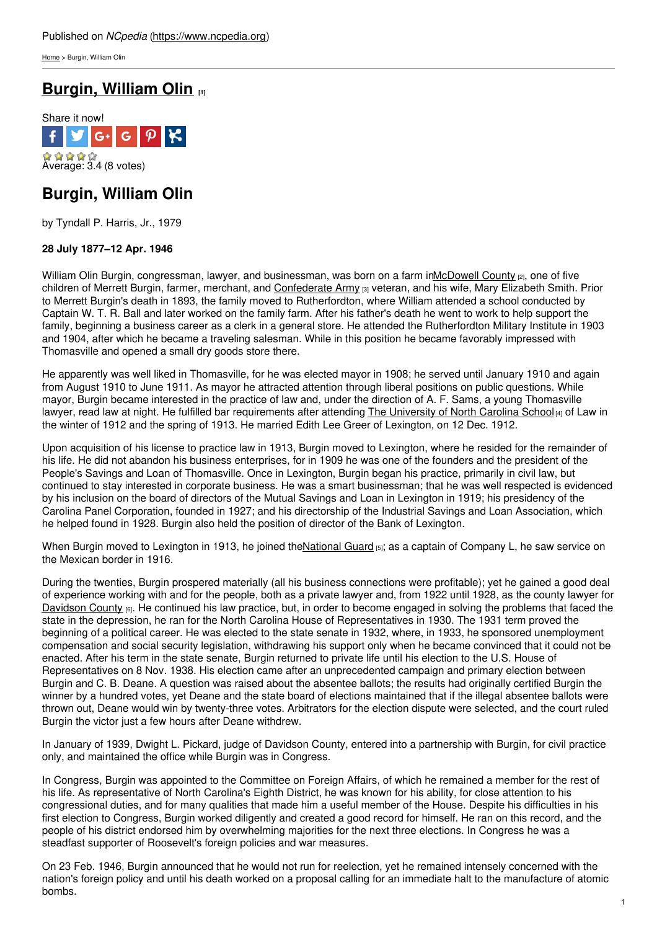[Home](https://www.ncpedia.org/) > Burgin, William Olin

# **[Burgin,](https://www.ncpedia.org/biography/burgin-william-olin) William Olin [1]**



## **Burgin, William Olin**

by Tyndall P. Harris, Jr., 1979

### **28 July 1877–12 Apr. 1946**

William Olin Burgin, congressman, lawyer, and businessman, was born on a farm i[nMcDowell](https://www.ncpedia.org/geography/mcdowell) County [2], one of five children of Merrett Burgin, farmer, [merchant,](http://www.social9.com) and [Confederate](https://www.ncpedia.org/confederate-party) Army [3] veteran, and his wife, Mary Elizabeth Smith. Prior to Merrett Burgin's death in 1893, the family moved to Rutherfordton, where William attended a school conducted by Captain W. T. R. Ball and later worked on the family farm. After his father's death he went to work to help support the family, beginning a business career as a clerk in a general store. He attended the Rutherfordton Military Institute in 1903 and 1904, after which he became a traveling salesman. While in this position he became favorably impressed with Thomasville and opened a small dry goods store there.

He apparently was well liked in Thomasville, for he was elected mayor in 1908; he served until January 1910 and again from August 1910 to June 1911. As mayor he attracted attention through liberal positions on public questions. While mayor, Burgin became interested in the practice of law and, under the direction of A. F. Sams, a young Thomasville lawyer, read law at night. He fulfilled bar requirements after attending The [University](https://www.ncpedia.org/university-north-carolina-chapel-hi) of North Carolina School [4] of Law in the winter of 1912 and the spring of 1913. He married Edith Lee Greer of Lexington, on 12 Dec. 1912.

Upon acquisition of his license to practice law in 1913, Burgin moved to Lexington, where he resided for the remainder of his life. He did not abandon his business enterprises, for in 1909 he was one of the founders and the president of the People's Savings and Loan of Thomasville. Once in Lexington, Burgin began his practice, primarily in civil law, but continued to stay interested in corporate business. He was a smart businessman; that he was well respected is evidenced by his inclusion on the board of directors of the Mutual Savings and Loan in Lexington in 1919; his presidency of the Carolina Panel Corporation, founded in 1927; and his directorship of the Industrial Savings and Loan Association, which he helped found in 1928. Burgin also held the position of director of the Bank of Lexington.

When Burgin moved to Lexington in 1913, he joined the National Guard [5]; as a captain of Company L, he saw service on the Mexican border in 1916.

During the twenties, Burgin prospered materially (all his business connections were profitable); yet he gained a good deal of experience working with and for the people, both as a private lawyer and, from 1922 until 1928, as the county lawyer for [Davidson](https://www.ncpedia.org/geography/davidson) County [6]. He continued his law practice, but, in order to become engaged in solving the problems that faced the state in the depression, he ran for the North Carolina House of Representatives in 1930. The 1931 term proved the beginning of a political career. He was elected to the state senate in 1932, where, in 1933, he sponsored unemployment compensation and social security legislation, withdrawing his support only when he became convinced that it could not be enacted. After his term in the state senate, Burgin returned to private life until his election to the U.S. House of Representatives on 8 Nov. 1938. His election came after an unprecedented campaign and primary election between Burgin and C. B. Deane. A question was raised about the absentee ballots; the results had originally certified Burgin the winner by a hundred votes, yet Deane and the state board of elections maintained that if the illegal absentee ballots were thrown out, Deane would win by twenty-three votes. Arbitrators for the election dispute were selected, and the court ruled Burgin the victor just a few hours after Deane withdrew.

In January of 1939, Dwight L. Pickard, judge of Davidson County, entered into a partnership with Burgin, for civil practice only, and maintained the office while Burgin was in Congress.

In Congress, Burgin was appointed to the Committee on Foreign Affairs, of which he remained a member for the rest of his life. As representative of North Carolina's Eighth District, he was known for his ability, for close attention to his congressional duties, and for many qualities that made him a useful member of the House. Despite his difficulties in his first election to Congress, Burgin worked diligently and created a good record for himself. He ran on this record, and the people of his district endorsed him by overwhelming majorities for the next three elections. In Congress he was a steadfast supporter of Roosevelt's foreign policies and war measures.

On 23 Feb. 1946, Burgin announced that he would not run for reelection, yet he remained intensely concerned with the nation's foreign policy and until his death worked on a proposal calling for an immediate halt to the manufacture of atomic bombs.